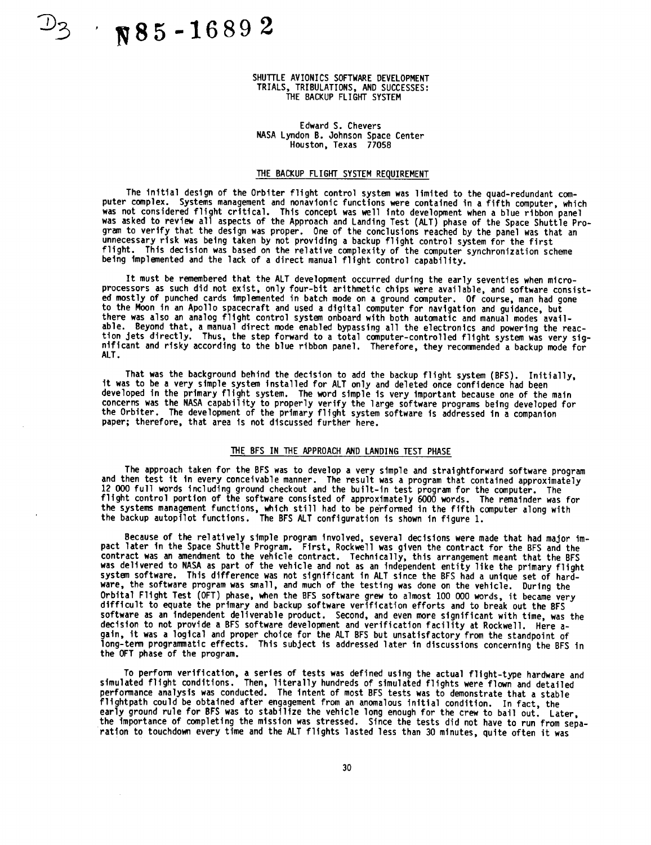$\gamma$  85-16892

## SHUTTLE AVIONICS SOFTWARE DEVELOPMENT TRIALS, TRIBULATIONS, AND SUCCESSES: THE BACKUP **FLIGHT** SYSTEM

### Edward S. Chevers NASA Lyndon B. Johnson Space Center Houston, Texas **77058**

## THE BACKUP **FLIGHT** SYSTEM REQUIREMENT

**The** initial **design** of the **Orbiter** flight control system was **limited** to the quad-redundant computer complex. Systems management and **nonavionic** functions were contained in a fifth computer, which was not considered flight critical. This concept was well into **development** when a blue ribbon panel was asked to review all aspects of the Approach and Landing Test (ALT) phase of the Space Shuttle Program to verify that the design was proper. One of **the** conclusions reached by the panel was that an unnecessary risk was being taken by not providing a backup flight control system for the first flight. **This decision** was **based** on the relative complexity of the computer synchronization scheme being implemented and the **lack** of a direct manual flight control capability.

It **must** be remembered that the ALT **development** occurred during the early seventies when microprocessors as **such** did not exist, only four-bit arithmetic chips were available, and **software** consisted mostly of punched cards implemented in batch mode on a ground computer. Of course, man had gone to the Moon in an Apollo spacecraft and used a digital computer for navigation and guidance, but there was also an analog flight control **system** onboard with both automatic and manual modes available. Beyond that, a manual direct mode enabled bypassing all the electronics and powering the reaction Jets **directly.** Thus, the **step** forward to a total computer-controlled flight system was very significant and risky according to the blue ribbon panel. Therefore, they recommended a backup mode for ALT.

**That** was the **background behind** the **decision** to add the backup flight **system** (BFS). Initially, it was to be a very **simple system** installed for ALT only and **deleted** once confidence had been developed in the primary flight system. The word **simple** is very important because **one** of the main concerns was the NASA capability to properly verify the large **software programs** being developed for the Orbiter. **The** development of the **primary** flight system software is addressed in a companion paper; therefore, that area is not **discussed** further here.

# THE BFS IN THE APPROACH AND LANDING TEST PHASE

**The** approach taken for the BFS was to **develop** a very simple and straightforward **software** program and then test it in every conceivable manner. The result was a program that contained approximately 12 000 full words Including ground checkout and the built-in test program for the computer. The flight control portion of the software consisted of approximately 6000 words. The remainder was for the **systems** management functions, which still had to be performed in the fifth computer along with the backup autopilot functions. The BFS ALT configuration is **shown** in figure 1.

Because **of** the relatively **simple program** involved, **several decisions** were made that **had** major **impact** later In the Space Shuttle **Program.** First, Rockwell was given the contract for the BFS and the contract was an amendment to the vehicle contract. Technically, this arrangement meant that the BFS was derivered to NASA as part of the venicie and not as an independent entity like the primary flight<br>system software. This difference was not significant in ALT since the BFS had a unique set of hardware, the software program was small, and much of the testing was done on the vehicle. During the Orbital **Flight** Test **(OFT)** phase, when the BFS **software** grew to almost 100 000 words, it became very **difficult** to equate the primary and backup **software** verification efforts and to break **out** the BFS **software** as an independent **dellverable** product. Second, and even more significant with time, was the **decision** to not provide a BFS **software development** and verification facility at Rockwell. Here again, it was a logical and proper choice for the ALT BFS but unsatisfactory from the standpoint of **1ong-tem** programmatic effects. This subject **is** addressed later in **discussions** concerning the BFS in the OFT phase of the program.

**To perform** verification, a **series of** tests was defined **using** the actual f1|ght-type hardware and **simulated** flight conditions. Then, literally hundreds of **simulated** flights were flown and detailed performance analysis was conducted. The intent of most BFS tests was to **demonstrate** that a **stable** f11ghtpath could be obtained after engagement from an anomalous initial condition. In fact, the early ground rule for BFS was to stabilize the vehicle long enough for the crew to bail out. Later, the importance of completing the mission was **stressed.** Since the tests did not have to run from separation to touchdown every time and the ALT flights lasted less than **30** minutes, **quite** often it was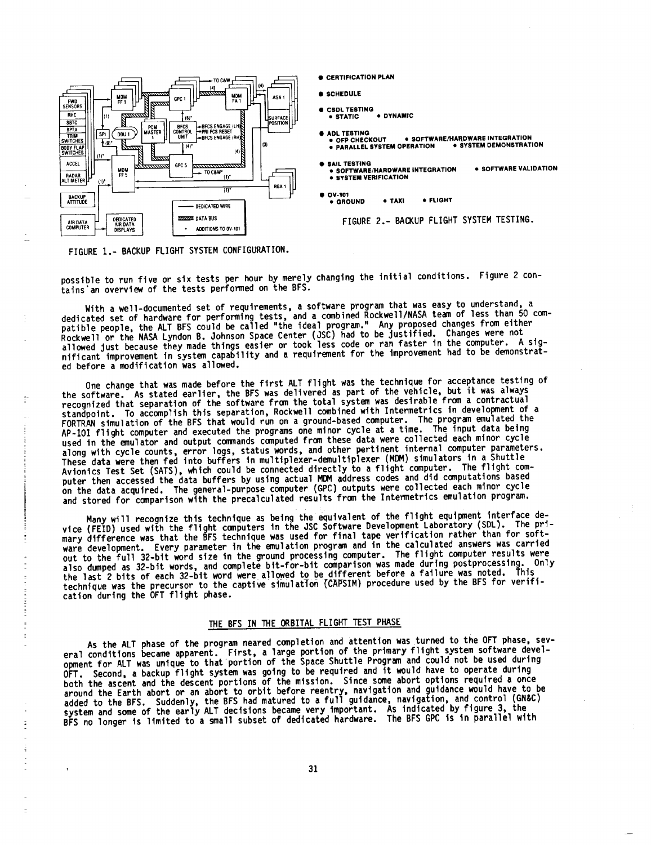

**FIGURE** 1.- BACKUP **FLIGHT** SYSTEM CONFIGURATION.

 $\mathop{!}\limits^{\mathop{\mathsf{!}}\limits^{\mathop{\mathsf{!}}}}$ 

 $\mathbb{R}^n$  and  $\mathbb{R}^n$  are the set of the set of the set of  $\mathbb{R}^n$ 

 $\overline{z}$ 

possible to run five **or six** tests **per** hour by merely changing the initial conditions. **Figure** 2 contains'an overview of the tests performed on the BFS.

**• CERTIFICATION PLAN**

**• ADL TESTING**<br>• OFP CHECKOUT

• **SAIL TESTING**

• **OV-101**

**• STATIC** • **DYNAMIC**

• **SYSTEM VERIFICATION**

**• PARALLEL SYSTEM OPERATION** • **SYSTEM DEMONSTRATION**

• **SOFTWARE/HARDWARE INTEGRATION**

• **GROUND • TAXI** • **FLIGHT**

FIGURE **2.- BACKUP** FLIGHT SYSTEM **TESTING.**

• **OFP CHECKOUT** • SOFTWARE/HARDWARE **INTEGRATION**

• **SOFTWARE VALIDATION**

• **SCHEDULE** • **CSOL TESTING**

With a well-documented **set** of requirements, a **software** program that was easy to understand, a dedicated set of hardware for performing tests, and a combined Rockwell/NASA team of less than 50 compatible people, the ALT BFS could be called "the ideal program." Any proposed changes from either Rockwell or the NASA Lyndon B. **Oohnson** Space Center (3SC) had to be Justified. Changes were **not** allowed just because they made things easier or took less code or ran faster in the computer. A significant improvement in system capability and a requirement for the improvement had to be demonstrated before a modification was allowed.

One change that was made before the first ALT flight was the technique for acceptance testing of the software. As stated earlier, the BFS was **delivered** as part of the vehicle, but it was always recognized that separation of the **software** from the total system was **desirable** from a contractual standpoint. To accomplish this **separation,** Rockwell combined with Intermetrics in development of a FORTRAN **simulation** of the BFS that would run **on** a ground-based computer. The program emulated the AP-I01 flight computer and executed the programs one minor cycle at a time. The input data being used in the emulator and output commands computed from these data were collected each minor cycle along with cycle counts, error logs, **status** words, and other pertinent internal computer parameters. These data were then fed into buffers in multiplexer-demultiplexer (MDM) **simulators** in a Shuttle Avionics Test Set (SATS), which could be connected directly to a flight computer. The flight computer then accessed the **data** buffers by using actual MDM address codes and did computations based on the data acquired. The general-purpose computer (GPC) outputs were collected each minor cycle and stored for comparison with the **precalculated** results from the Intermetrics emulation program.

Many will recognize this technique as being the equivalent of the flight equipment interface device (FEID) used with the flight computers in the JSC Software Development Laboratory (SDL). The primary **difference** was that the BFS technique was **used** for final tape verification rather than for software development. Every parameter in the emulation program and in the calculated answers was carried out to the full 32-bit word size in the ground processing computer. The flight computer results were<br>out to the full 32-bit words and computer bit-for-bit comparison was made during postprocessing. Only also dumped as **32-bit** words, and complete blt-for-bit comparison was made **during** postprocesslng. Only the last 2 bits of each **32-bit** word were allowed to be different before a failure was noted. **This** technique was the precursor to the captive **simulation** (CAPSIM) procedure **used** by the BFS for verification during the OFT flight phase.

# **THE BFS** IN THE ORBITAL FLIGHT TEST **PHASE**

As the ALT phase of the program neared completion and attention was turned to the OFT phase, **sev**eral conditions became apparent. First, a large portion of the primary flight **system software devel**opment for ALT was **unique** to that portion **of** the Space Shuttle **Program** and could not be used during OFT. Second, a backup flight **system** was going to be required and it would have to **operate during** both the ascent and the descent portions **of** the mission. Since **some** abort **options** required a **once** around the Earth abort or an abort to orbit **before** reentry, navigation and guidance would have to be added to the BFS. Suddenly, the BFS had matured to a full guidance, navigation, and control (GN&C) **system** and **some** of the early ALT **decisions** became very important. As indicated by figure **3,** the BFS no longer Is limited to **a small subset of dedicated hardware.** The BFS GPC is in **parallel** with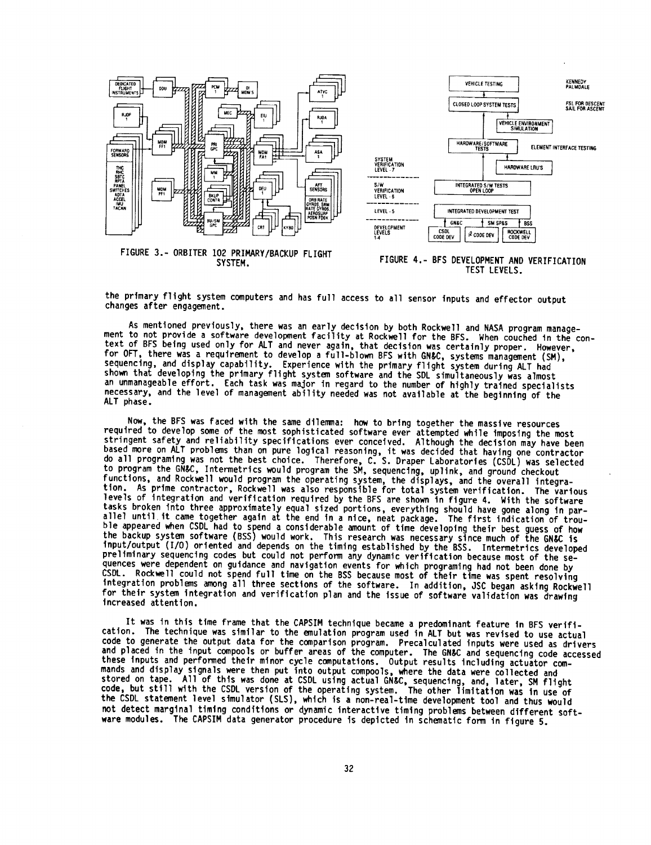

the **primary** flight **system** computers and has full access to all sensor inputs and effector output changes after engagement.

As **mentioned previously,** there was an **early** decision by both Rockwell and NASA program management to not provide a software development facility at Rockwell for the BFS. When couched in the context of BFS being used only for ALT and never again, that decision was certainly proper. However, for OFT, there was a requirement to develop a full-blown BFS with GN&C, systems management (SM), **sequencing,** and display capability. Experience with the primary flight system during ALT had shown that developing the primary flight system **software** and the SDL **simultaneously** was almost an unmanageable effort. Each task was major in regard to the number of highly trained specialists necessary, and the level of management ability needed was not available at the beginning of the ALT phase.

Now, the **BFS** was faced with the **same** dilemma: how to bring together the massive resources required to develop **some** of the most **sophisticated** software ever attempted while imposing the most stringent safety and reliability specifications ever conceived. Although the decision may have been based more on ALT problems than on pure logical reasoning, it was **decided** that having one contractor do all programing was not the best choice. Therefore, C. S. Draper Laboratories (CSDL) was selected to **program** the GN&C, Intermetrics would **program** the SM, **sequencing, uplink,** and ground checkout functions, and Rockwell would program the operating **system,** the displays, and the **overall** integration. As prime contractor, Rockwell was also responsible for total system verification. The **various** levels of integration and verification required by the BFS are shown in figure 4. With the software tasks broken into three approximately equal sized portions, everything should have gone along in parallel until it came together again at the end in a nice, neat package. The first indication of trouble appeared when CSDL had to spend a considerable amount of time developing their best guess of how the backup system **software (BSS)** would work. This research was necessary since much of the GN&C Is input/output (I/O) oriented and depends on the timing established by the BSS. Intermetrlcs **developed** preliminary **sequencing** codes but could not perform any dynamic verification because most of the sequences were dependent on guidance and navigation events for which programing had not been done by CSDL. Rockwell could not spend full time on the BSS because most of their time was spent resolving integration problems among all three **sections** of the software. In addition, JSC began asking Rockwell for their system integration and verification plan and the issue of **software** validation was drawing increased attention.

It was in this time frame that the CAPSIM technique became a predominant feature in BFS verification. The technique was similar to the emulation program used in ALT but was revised to use actual code to generate the output **data** for the comparison program. Precalculated inputs were used as drivers and placed in the input compools or buffer areas of the computer. The GN&C and sequencing code accessed these inputs and performed their minor cycle computations. Output results including actuator commands and **display signals** were then put into output compools, where the data were collected and stored on tape. All of this was done at CSDL using actual GN&C, sequencing, and, later, SM flight code, but still with the CSDL version of the operating system. The other limitation was in use of the CSDL **statement** level **slmulator (SLS),** which is a non-real-tlme development tool and thus would not detect marginal timing conditions or dynamic interactive timing problems between different **soft**ware modules. The CAPSIM data generator procedure is depicted in **schematic** form in figure 5.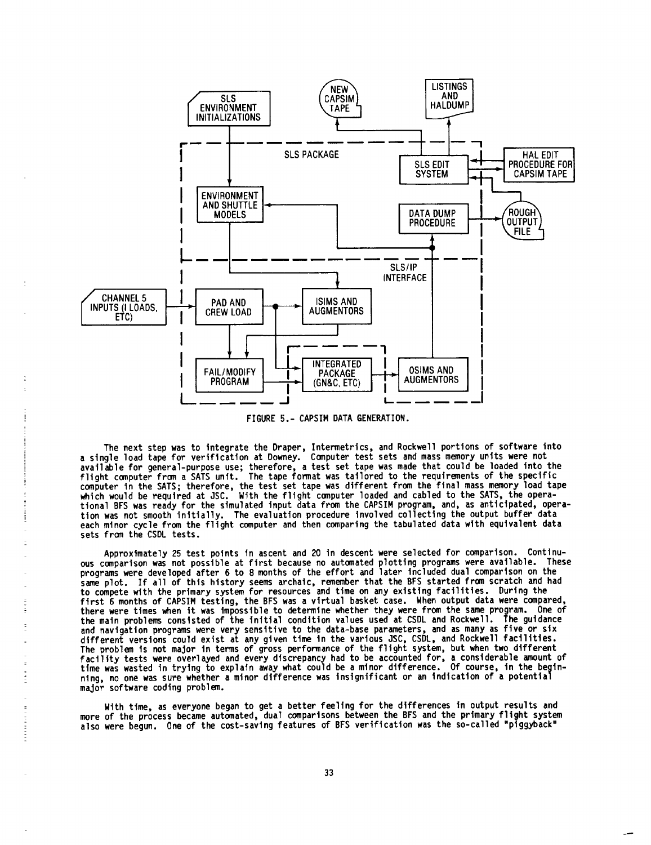

FIGURE 5.- CAPSIM DATA GENERATION.

**The** next **step** was to integrate the Draper, Intermetrics, and Rockwell portions **of software** into a **single** load tape for verification at Downey. Computer test sets and mass memory **units** were not available for general-purpose use; therefore, a test **set** tape was made that could be loaded into the flight computer from a SATS unit. The tape fomat was tailored to the requirements **of the specific** computer In the SATS; therefore, the test set tape was **different** from the final mass memory load tape which would be required at JSC. With the flight computer loaded and cabled to the SATS, the **opera**tional BFS was ready for the simulated input data from the CAPSIM program, and, as anticipated, operation was **not** smooth initially. **The** evaluation procedure involved collecting the output buffer **data** each minor cycle from the flight computer **and** then comparing the tabulated **data** wlth **equivalent data** sets from the CSDL tests.

Approximately 25 test points In ascent and 20 in **descent** were selected for comparison. Continuous comparison was not possible at first because no automated plotting programs were available. These programs were **developed** after 6 to 8 months of the effort and later included **dual** comparison on the **same** plot. If all of this history **seems** archaic, remember that the BFS **started** from **scratch and** had to compete with the primary **system** for resources **and** time **on** any existing facilities. **During** the first 6 months of CAPSIM testing, the BFS was a virtual basket case. When output data were compared, there were times when it was impossible to determine whether they were from the **same** program. One of the maln **problems** consisted **of** the initial condition values **used** at CSDL and Rockwell. **The** guidance and navigation **programs** were very **sensitive** to the data-base **parameters,** and as many as five or six different versions could exist at any given time In the various JSC, CSDL, **and** Rockwell facilities. The problem Is not major In terms of gross performance of the flight **system,** but when two different facility tests were **overlayed** and every **discrepancy** had to be accounted for, a considerable amount **of** tlme was wasted in trying to explain away what could be a minor difference. Of course, in the beginning, no **one** was **sure** whether **a** minor difference was insignificant or an indication **of** a potential major software coding problem.

With time, as everyone began to get a better feeling for the **differences** in **output** results and more of the process became automated, **dual** comparisons between the BFS and the primary flight system also were begun. One of the cost-saving features **of** BFS verification was the **so-called** "piggyback"